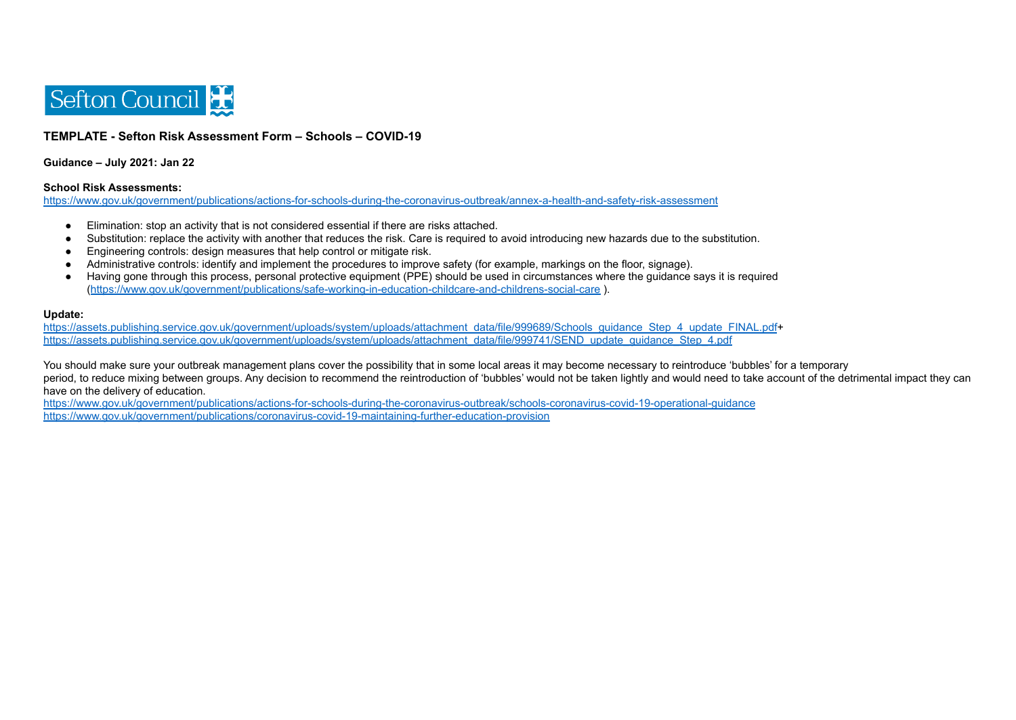

## **TEMPLATE - Sefton Risk Assessment Form – Schools – COVID-19**

**Guidance – July 2021: Jan 22**

## **School Risk Assessments:**

<https://www.gov.uk/government/publications/actions-for-schools-during-the-coronavirus-outbreak/annex-a-health-and-safety-risk-assessment>

- Elimination: stop an activity that is not considered essential if there are risks attached.
- Substitution: replace the activity with another that reduces the risk. Care is required to avoid introducing new hazards due to the substitution.
- Engineering controls: design measures that help control or mitigate risk.
- Administrative controls: identify and implement the procedures to improve safety (for example, markings on the floor, signage).
- Having gone through this process, personal protective equipment (PPE) should be used in circumstances where the guidance says it is required (<https://www.gov.uk/government/publications/safe-working-in-education-childcare-and-childrens-social-care> ).

## **Update:**

[https://assets.publishing.service.gov.uk/government/uploads/system/uploads/attachment\\_data/file/999689/Schools\\_guidance\\_Step\\_4\\_update\\_FINAL.pdf](https://assets.publishing.service.gov.uk/government/uploads/system/uploads/attachment_data/file/999689/Schools_guidance_Step_4_update_FINAL.pdf)+ [https://assets.publishing.service.gov.uk/government/uploads/system/uploads/attachment\\_data/file/999741/SEND\\_update\\_guidance\\_Step\\_4.pdf](https://assets.publishing.service.gov.uk/government/uploads/system/uploads/attachment_data/file/999741/SEND_update_guidance_Step_4.pdf)

You should make sure your outbreak management plans cover the possibility that in some local areas it may become necessary to reintroduce 'bubbles' for a temporary period, to reduce mixing between groups. Any decision to recommend the reintroduction of 'bubbles' would not be taken lightly and would need to take account of the detrimental impact they can have on the delivery of education.

<https://www.gov.uk/government/publications/actions-for-schools-during-the-coronavirus-outbreak/schools-coronavirus-covid-19-operational-guidance> <https://www.gov.uk/government/publications/coronavirus-covid-19-maintaining-further-education-provision>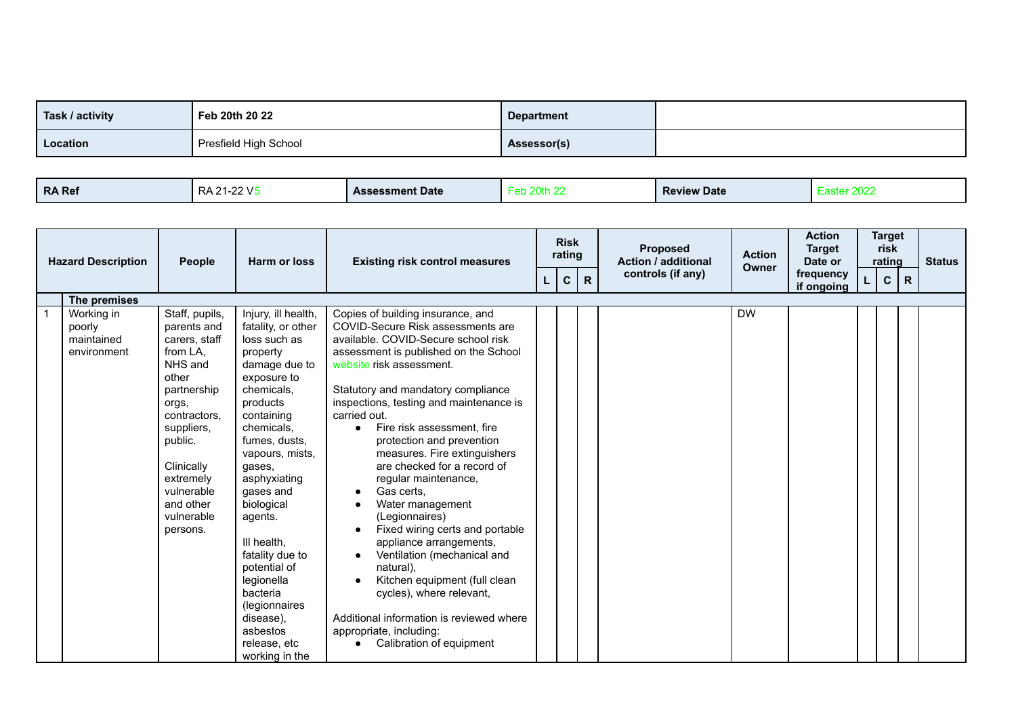| Task / activity | Feb 20th 20 22        | <b>Department</b> |  |
|-----------------|-----------------------|-------------------|--|
| Location        | Presfield High School | Assessor(s)       |  |

| RA Ref | .22 V.F<br>RА<br>. . | <b>Assessment Date</b> |  | <b>Review Date</b> | 20TA<br>aalu |
|--------|----------------------|------------------------|--|--------------------|--------------|
|--------|----------------------|------------------------|--|--------------------|--------------|

| <b>Hazard Description</b>                         | People                                                                                                                                                                                                                          | Harm or loss                                                                                                                                                                                                                                                                                                                                                                                                            | <b>Existing risk control measures</b>                                                                                                                                                                                                                                                                                                                                                                                                                                                                                                                                                                                                                                                                                                                               |    | <b>Risk</b><br>rating |              | <b>Proposed</b><br><b>Action / additional</b> | <b>Action</b><br>Owner | <b>Action</b><br><b>Target</b><br>Date or | <b>Target</b><br>risk<br>rating |              | <b>Status</b> |
|---------------------------------------------------|---------------------------------------------------------------------------------------------------------------------------------------------------------------------------------------------------------------------------------|-------------------------------------------------------------------------------------------------------------------------------------------------------------------------------------------------------------------------------------------------------------------------------------------------------------------------------------------------------------------------------------------------------------------------|---------------------------------------------------------------------------------------------------------------------------------------------------------------------------------------------------------------------------------------------------------------------------------------------------------------------------------------------------------------------------------------------------------------------------------------------------------------------------------------------------------------------------------------------------------------------------------------------------------------------------------------------------------------------------------------------------------------------------------------------------------------------|----|-----------------------|--------------|-----------------------------------------------|------------------------|-------------------------------------------|---------------------------------|--------------|---------------|
|                                                   |                                                                                                                                                                                                                                 |                                                                                                                                                                                                                                                                                                                                                                                                                         |                                                                                                                                                                                                                                                                                                                                                                                                                                                                                                                                                                                                                                                                                                                                                                     | L. | $\mathbf{C}$          | $\mathsf{R}$ | controls (if any)                             |                        | frequency<br>if ongoing                   | $\mathbf C$                     | $\mathsf{R}$ |               |
| The premises                                      |                                                                                                                                                                                                                                 |                                                                                                                                                                                                                                                                                                                                                                                                                         |                                                                                                                                                                                                                                                                                                                                                                                                                                                                                                                                                                                                                                                                                                                                                                     |    |                       |              |                                               |                        |                                           |                                 |              |               |
| Working in<br>poorly<br>maintained<br>environment | Staff, pupils,<br>parents and<br>carers, staff<br>from LA,<br>NHS and<br>other<br>partnership<br>orgs,<br>contractors.<br>suppliers,<br>public.<br>Clinically<br>extremely<br>vulnerable<br>and other<br>vulnerable<br>persons. | Injury, ill health,<br>fatality, or other<br>loss such as<br>property<br>damage due to<br>exposure to<br>chemicals,<br>products<br>containing<br>chemicals,<br>fumes, dusts,<br>vapours, mists,<br>gases,<br>asphyxiating<br>gases and<br>biological<br>agents.<br>III health.<br>fatality due to<br>potential of<br>legionella<br>bacteria<br>(legionnaires<br>disease),<br>asbestos<br>release, etc<br>working in the | Copies of building insurance, and<br>COVID-Secure Risk assessments are<br>available. COVID-Secure school risk<br>assessment is published on the School<br>website risk assessment.<br>Statutory and mandatory compliance<br>inspections, testing and maintenance is<br>carried out.<br>Fire risk assessment, fire<br>protection and prevention<br>measures. Fire extinguishers<br>are checked for a record of<br>regular maintenance,<br>Gas certs.<br>Water management<br>(Legionnaires)<br>Fixed wiring certs and portable<br>appliance arrangements,<br>Ventilation (mechanical and<br>natural).<br>Kitchen equipment (full clean<br>cycles), where relevant,<br>Additional information is reviewed where<br>appropriate, including:<br>Calibration of equipment |    |                       |              |                                               | <b>DW</b>              |                                           |                                 |              |               |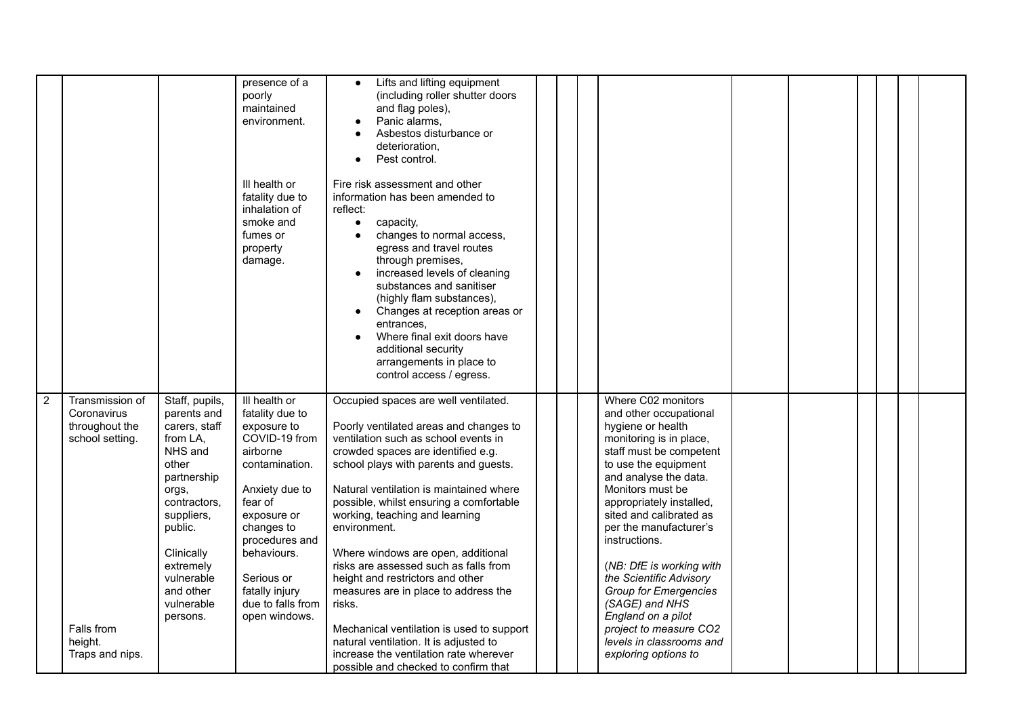|                                                                                                                                   |                                                                                                                                                                                                                                 | presence of a<br>poorly<br>maintained<br>environment.<br>III health or<br>fatality due to<br>inhalation of<br>smoke and<br>fumes or<br>property<br>damage.                                                                                                      | Lifts and lifting equipment<br>(including roller shutter doors<br>and flag poles),<br>Panic alarms,<br>Asbestos disturbance or<br>deterioration.<br>Pest control.<br>Fire risk assessment and other<br>information has been amended to<br>reflect:<br>$\bullet$<br>capacity,<br>changes to normal access,<br>egress and travel routes<br>through premises,<br>increased levels of cleaning<br>substances and sanitiser<br>(highly flam substances),<br>Changes at reception areas or<br>entrances.<br>Where final exit doors have<br>additional security<br>arrangements in place to<br>control access / egress.                                                                            |  |                                                                                                                                                                                                                                                                                                                                                                                                                                                                                                             |  |  |  |
|-----------------------------------------------------------------------------------------------------------------------------------|---------------------------------------------------------------------------------------------------------------------------------------------------------------------------------------------------------------------------------|-----------------------------------------------------------------------------------------------------------------------------------------------------------------------------------------------------------------------------------------------------------------|---------------------------------------------------------------------------------------------------------------------------------------------------------------------------------------------------------------------------------------------------------------------------------------------------------------------------------------------------------------------------------------------------------------------------------------------------------------------------------------------------------------------------------------------------------------------------------------------------------------------------------------------------------------------------------------------|--|-------------------------------------------------------------------------------------------------------------------------------------------------------------------------------------------------------------------------------------------------------------------------------------------------------------------------------------------------------------------------------------------------------------------------------------------------------------------------------------------------------------|--|--|--|
| $\overline{2}$<br>Transmission of<br>Coronavirus<br>throughout the<br>school setting.<br>Falls from<br>height.<br>Traps and nips. | Staff, pupils,<br>parents and<br>carers, staff<br>from LA,<br>NHS and<br>other<br>partnership<br>orgs,<br>contractors,<br>suppliers,<br>public.<br>Clinically<br>extremely<br>vulnerable<br>and other<br>vulnerable<br>persons. | III health or<br>fatality due to<br>exposure to<br>COVID-19 from<br>airborne<br>contamination.<br>Anxiety due to<br>fear of<br>exposure or<br>changes to<br>procedures and<br>behaviours.<br>Serious or<br>fatally injury<br>due to falls from<br>open windows. | Occupied spaces are well ventilated.<br>Poorly ventilated areas and changes to<br>ventilation such as school events in<br>crowded spaces are identified e.g.<br>school plays with parents and guests.<br>Natural ventilation is maintained where<br>possible, whilst ensuring a comfortable<br>working, teaching and learning<br>environment.<br>Where windows are open, additional<br>risks are assessed such as falls from<br>height and restrictors and other<br>measures are in place to address the<br>risks.<br>Mechanical ventilation is used to support<br>natural ventilation. It is adjusted to<br>increase the ventilation rate wherever<br>possible and checked to confirm that |  | Where C02 monitors<br>and other occupational<br>hygiene or health<br>monitoring is in place,<br>staff must be competent<br>to use the equipment<br>and analyse the data.<br>Monitors must be<br>appropriately installed,<br>sited and calibrated as<br>per the manufacturer's<br>instructions.<br>(NB: DfE is working with<br>the Scientific Advisory<br><b>Group for Emergencies</b><br>(SAGE) and NHS<br>England on a pilot<br>project to measure CO2<br>levels in classrooms and<br>exploring options to |  |  |  |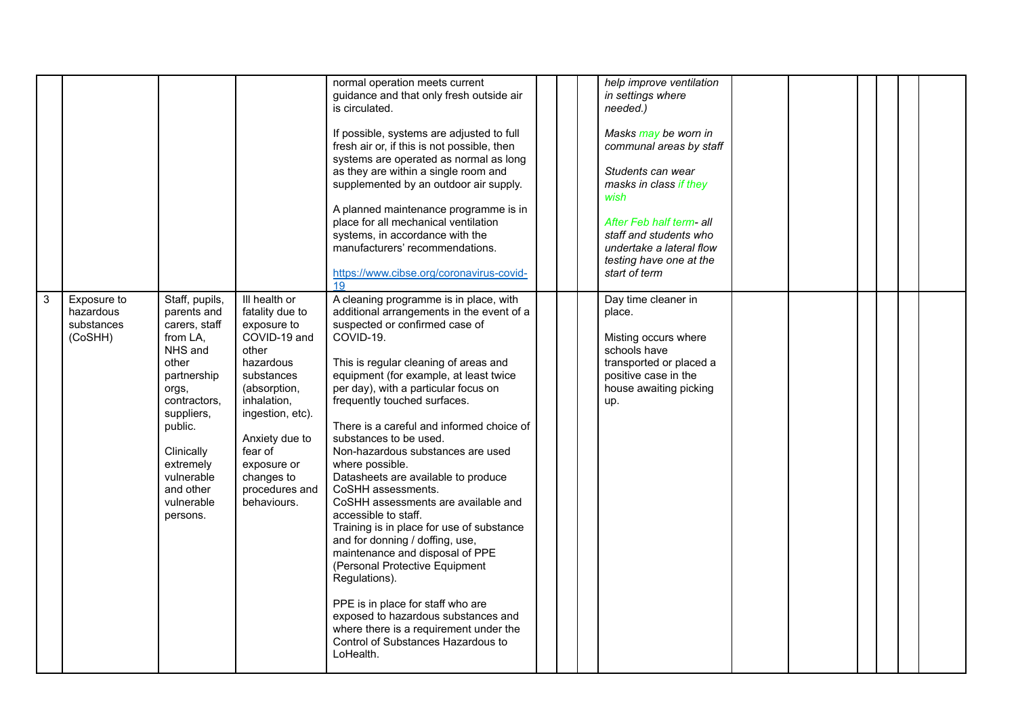|              |                                                   |                                                                                                                                                                                                                                 |                                                                                                                                                                                                                                                   | normal operation meets current<br>guidance and that only fresh outside air<br>is circulated.<br>If possible, systems are adjusted to full<br>fresh air or, if this is not possible, then<br>systems are operated as normal as long<br>as they are within a single room and<br>supplemented by an outdoor air supply.<br>A planned maintenance programme is in<br>place for all mechanical ventilation<br>systems, in accordance with the<br>manufacturers' recommendations.<br>https://www.cibse.org/coronavirus-covid-<br>19                                                                                                                                                                                                                                                                                                                                                                           |  | help improve ventilation<br>in settings where<br>needed.)<br>Masks may be worn in<br>communal areas by staff<br>Students can wear<br>masks in class if they<br>wish<br>After Feb half term- all<br>staff and students who<br>undertake a lateral flow<br>testing have one at the<br>start of term |  |  |  |
|--------------|---------------------------------------------------|---------------------------------------------------------------------------------------------------------------------------------------------------------------------------------------------------------------------------------|---------------------------------------------------------------------------------------------------------------------------------------------------------------------------------------------------------------------------------------------------|---------------------------------------------------------------------------------------------------------------------------------------------------------------------------------------------------------------------------------------------------------------------------------------------------------------------------------------------------------------------------------------------------------------------------------------------------------------------------------------------------------------------------------------------------------------------------------------------------------------------------------------------------------------------------------------------------------------------------------------------------------------------------------------------------------------------------------------------------------------------------------------------------------|--|---------------------------------------------------------------------------------------------------------------------------------------------------------------------------------------------------------------------------------------------------------------------------------------------------|--|--|--|
| $\mathbf{3}$ | Exposure to<br>hazardous<br>substances<br>(CoSHH) | Staff, pupils,<br>parents and<br>carers, staff<br>from LA.<br>NHS and<br>other<br>partnership<br>orgs,<br>contractors,<br>suppliers,<br>public.<br>Clinically<br>extremely<br>vulnerable<br>and other<br>vulnerable<br>persons. | III health or<br>fatality due to<br>exposure to<br>COVID-19 and<br>other<br>hazardous<br>substances<br>(absorption,<br>inhalation,<br>ingestion, etc).<br>Anxiety due to<br>fear of<br>exposure or<br>changes to<br>procedures and<br>behaviours. | A cleaning programme is in place, with<br>additional arrangements in the event of a<br>suspected or confirmed case of<br>COVID-19.<br>This is regular cleaning of areas and<br>equipment (for example, at least twice<br>per day), with a particular focus on<br>frequently touched surfaces.<br>There is a careful and informed choice of<br>substances to be used.<br>Non-hazardous substances are used<br>where possible.<br>Datasheets are available to produce<br>CoSHH assessments.<br>CoSHH assessments are available and<br>accessible to staff.<br>Training is in place for use of substance<br>and for donning / doffing, use,<br>maintenance and disposal of PPE<br>(Personal Protective Equipment<br>Regulations).<br>PPE is in place for staff who are<br>exposed to hazardous substances and<br>where there is a requirement under the<br>Control of Substances Hazardous to<br>LoHealth. |  | Day time cleaner in<br>place.<br>Misting occurs where<br>schools have<br>transported or placed a<br>positive case in the<br>house awaiting picking<br>up.                                                                                                                                         |  |  |  |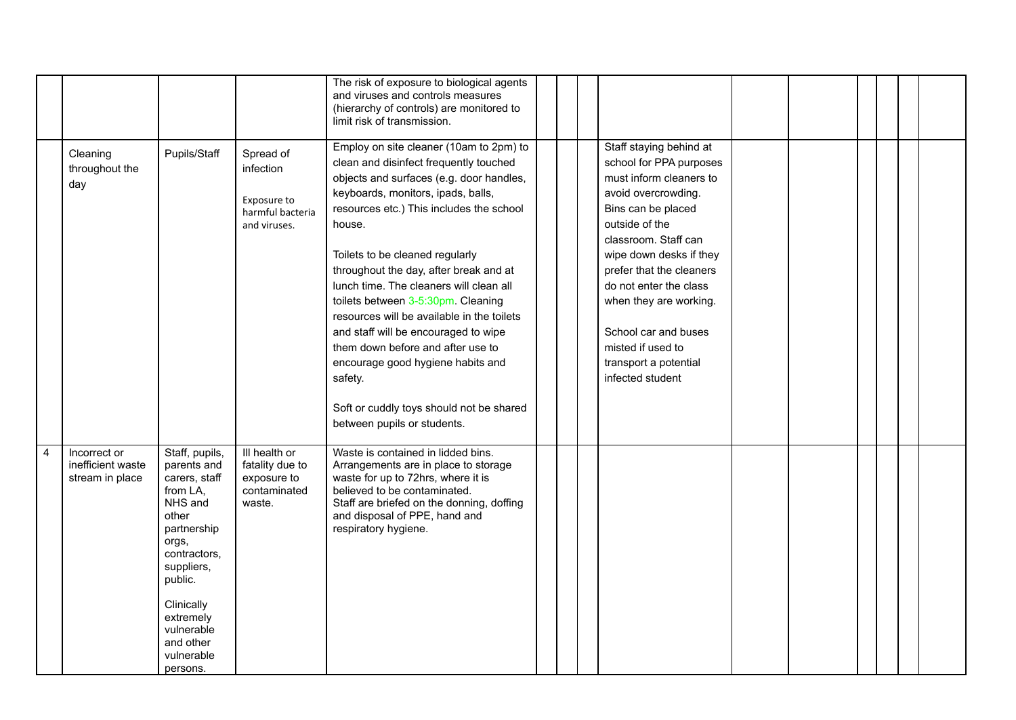|                |                                                      |                                                                                                                                                                                                                                 |                                                                           | The risk of exposure to biological agents<br>and viruses and controls measures<br>(hierarchy of controls) are monitored to<br>limit risk of transmission.                                                                                                                                                                                                                                                                                                                                                                                                                                                                                     |  |                                                                                                                                                                                                                                                                                                                                                                           |  |  |  |
|----------------|------------------------------------------------------|---------------------------------------------------------------------------------------------------------------------------------------------------------------------------------------------------------------------------------|---------------------------------------------------------------------------|-----------------------------------------------------------------------------------------------------------------------------------------------------------------------------------------------------------------------------------------------------------------------------------------------------------------------------------------------------------------------------------------------------------------------------------------------------------------------------------------------------------------------------------------------------------------------------------------------------------------------------------------------|--|---------------------------------------------------------------------------------------------------------------------------------------------------------------------------------------------------------------------------------------------------------------------------------------------------------------------------------------------------------------------------|--|--|--|
|                | Cleaning<br>throughout the<br>day                    | Pupils/Staff                                                                                                                                                                                                                    | Spread of<br>infection<br>Exposure to<br>harmful bacteria<br>and viruses. | Employ on site cleaner (10am to 2pm) to<br>clean and disinfect frequently touched<br>objects and surfaces (e.g. door handles,<br>keyboards, monitors, ipads, balls,<br>resources etc.) This includes the school<br>house.<br>Toilets to be cleaned regularly<br>throughout the day, after break and at<br>lunch time. The cleaners will clean all<br>toilets between 3-5:30pm. Cleaning<br>resources will be available in the toilets<br>and staff will be encouraged to wipe<br>them down before and after use to<br>encourage good hygiene habits and<br>safety.<br>Soft or cuddly toys should not be shared<br>between pupils or students. |  | Staff staying behind at<br>school for PPA purposes<br>must inform cleaners to<br>avoid overcrowding.<br>Bins can be placed<br>outside of the<br>classroom. Staff can<br>wipe down desks if they<br>prefer that the cleaners<br>do not enter the class<br>when they are working.<br>School car and buses<br>misted if used to<br>transport a potential<br>infected student |  |  |  |
| $\overline{4}$ | Incorrect or<br>inefficient waste<br>stream in place | Staff, pupils,<br>parents and<br>carers, staff<br>from LA,<br>NHS and<br>other<br>partnership<br>orgs,<br>contractors,<br>suppliers,<br>public.<br>Clinically<br>extremely<br>vulnerable<br>and other<br>vulnerable<br>persons. | Ill health or<br>fatality due to<br>exposure to<br>contaminated<br>waste. | Waste is contained in lidded bins.<br>Arrangements are in place to storage<br>waste for up to 72hrs, where it is<br>believed to be contaminated.<br>Staff are briefed on the donning, doffing<br>and disposal of PPE, hand and<br>respiratory hygiene.                                                                                                                                                                                                                                                                                                                                                                                        |  |                                                                                                                                                                                                                                                                                                                                                                           |  |  |  |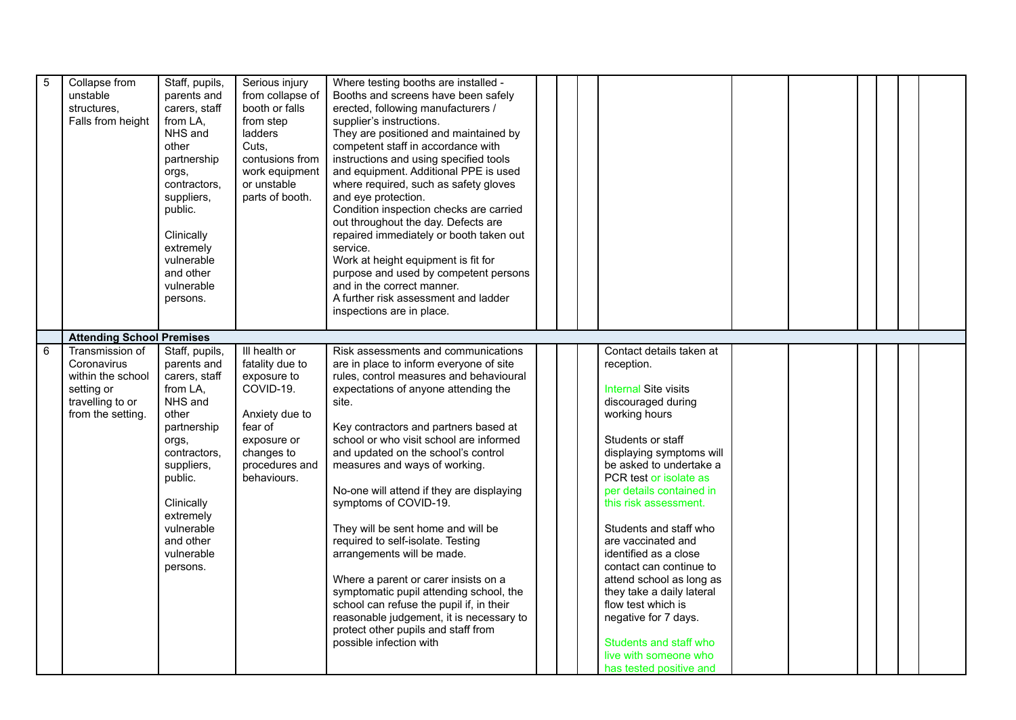| $5\phantom{.0}$ | Collapse from                    | Staff, pupils, | Serious injury   | Where testing booths are installed -      |                             |  |  |  |
|-----------------|----------------------------------|----------------|------------------|-------------------------------------------|-----------------------------|--|--|--|
|                 | unstable                         | parents and    | from collapse of | Booths and screens have been safely       |                             |  |  |  |
|                 | structures.                      | carers, staff  | booth or falls   | erected, following manufacturers /        |                             |  |  |  |
|                 |                                  |                |                  |                                           |                             |  |  |  |
|                 | Falls from height                | from LA,       | from step        | supplier's instructions.                  |                             |  |  |  |
|                 |                                  | NHS and        | ladders          | They are positioned and maintained by     |                             |  |  |  |
|                 |                                  | other          | Cuts.            | competent staff in accordance with        |                             |  |  |  |
|                 |                                  | partnership    | contusions from  | instructions and using specified tools    |                             |  |  |  |
|                 |                                  | orgs,          | work equipment   | and equipment. Additional PPE is used     |                             |  |  |  |
|                 |                                  | contractors,   | or unstable      | where required, such as safety gloves     |                             |  |  |  |
|                 |                                  | suppliers,     | parts of booth.  | and eye protection.                       |                             |  |  |  |
|                 |                                  | public.        |                  | Condition inspection checks are carried   |                             |  |  |  |
|                 |                                  |                |                  | out throughout the day. Defects are       |                             |  |  |  |
|                 |                                  | Clinically     |                  | repaired immediately or booth taken out   |                             |  |  |  |
|                 |                                  | extremely      |                  | service.                                  |                             |  |  |  |
|                 |                                  | vulnerable     |                  | Work at height equipment is fit for       |                             |  |  |  |
|                 |                                  | and other      |                  | purpose and used by competent persons     |                             |  |  |  |
|                 |                                  | vulnerable     |                  | and in the correct manner.                |                             |  |  |  |
|                 |                                  | persons.       |                  | A further risk assessment and ladder      |                             |  |  |  |
|                 |                                  |                |                  | inspections are in place.                 |                             |  |  |  |
|                 |                                  |                |                  |                                           |                             |  |  |  |
|                 | <b>Attending School Premises</b> |                |                  |                                           |                             |  |  |  |
| 6               | Transmission of                  | Staff, pupils, | III health or    | Risk assessments and communications       | Contact details taken at    |  |  |  |
|                 | Coronavirus                      | parents and    | fatality due to  | are in place to inform everyone of site   | reception.                  |  |  |  |
|                 | within the school                | carers, staff  | exposure to      | rules, control measures and behavioural   |                             |  |  |  |
|                 |                                  | from LA,       | COVID-19.        | expectations of anyone attending the      | <b>Internal Site visits</b> |  |  |  |
|                 | setting or<br>travelling to or   | NHS and        |                  |                                           | discouraged during          |  |  |  |
|                 | from the setting.                |                |                  | site.                                     | working hours               |  |  |  |
|                 |                                  | other          | Anxiety due to   |                                           |                             |  |  |  |
|                 |                                  | partnership    | fear of          | Key contractors and partners based at     |                             |  |  |  |
|                 |                                  | orgs,          | exposure or      | school or who visit school are informed   | Students or staff           |  |  |  |
|                 |                                  | contractors,   | changes to       | and updated on the school's control       | displaying symptoms will    |  |  |  |
|                 |                                  | suppliers,     | procedures and   | measures and ways of working.             | be asked to undertake a     |  |  |  |
|                 |                                  | public.        | behaviours.      |                                           | PCR test or isolate as      |  |  |  |
|                 |                                  |                |                  | No-one will attend if they are displaying | per details contained in    |  |  |  |
|                 |                                  | Clinically     |                  | symptoms of COVID-19.                     | this risk assessment.       |  |  |  |
|                 |                                  | extremely      |                  |                                           |                             |  |  |  |
|                 |                                  | vulnerable     |                  | They will be sent home and will be        | Students and staff who      |  |  |  |
|                 |                                  | and other      |                  | required to self-isolate. Testing         | are vaccinated and          |  |  |  |
|                 |                                  | vulnerable     |                  | arrangements will be made.                | identified as a close       |  |  |  |
|                 |                                  | persons.       |                  |                                           | contact can continue to     |  |  |  |
|                 |                                  |                |                  | Where a parent or carer insists on a      | attend school as long as    |  |  |  |
|                 |                                  |                |                  | symptomatic pupil attending school, the   | they take a daily lateral   |  |  |  |
|                 |                                  |                |                  | school can refuse the pupil if, in their  | flow test which is          |  |  |  |
|                 |                                  |                |                  | reasonable judgement, it is necessary to  | negative for 7 days.        |  |  |  |
|                 |                                  |                |                  | protect other pupils and staff from       |                             |  |  |  |
|                 |                                  |                |                  | possible infection with                   | Students and staff who      |  |  |  |
|                 |                                  |                |                  |                                           | live with someone who       |  |  |  |
|                 |                                  |                |                  |                                           | has tested positive and     |  |  |  |
|                 |                                  |                |                  |                                           |                             |  |  |  |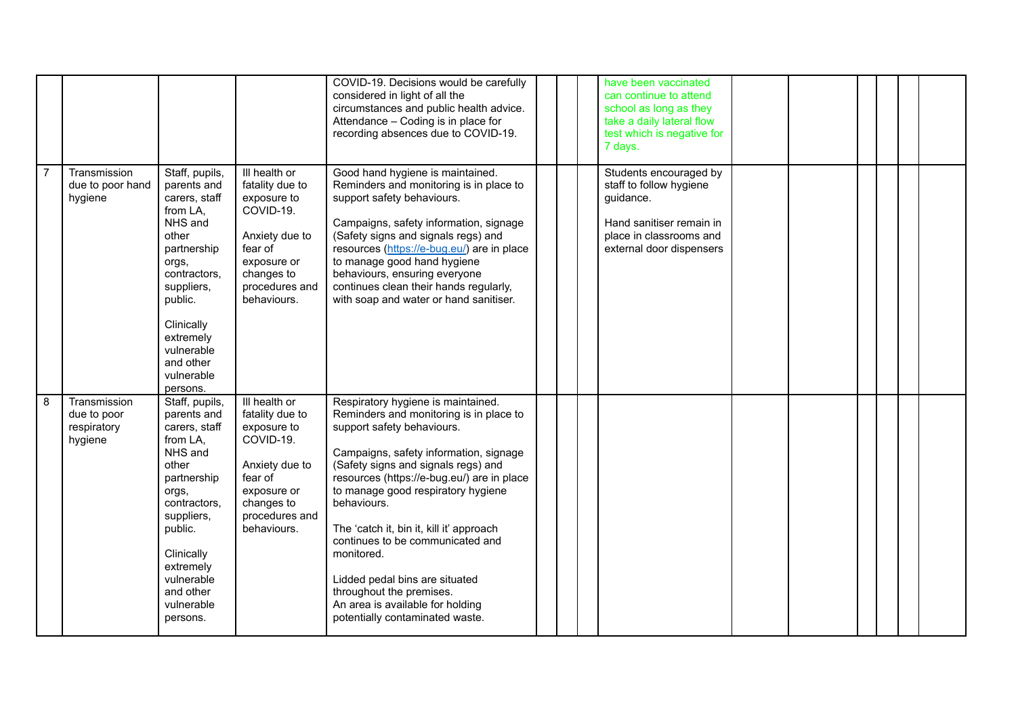|   |                                                       |                                                                                                                                                                                                                                 |                                                                                                                                                         | COVID-19. Decisions would be carefully<br>considered in light of all the<br>circumstances and public health advice.<br>Attendance - Coding is in place for<br>recording absences due to COVID-19.                                                                                                                                                                                                                                                                                                                                  |  | have been vaccinated<br>can continue to attend<br>school as long as they<br>take a daily lateral flow<br>test which is negative for<br>7 days.    |  |  |  |
|---|-------------------------------------------------------|---------------------------------------------------------------------------------------------------------------------------------------------------------------------------------------------------------------------------------|---------------------------------------------------------------------------------------------------------------------------------------------------------|------------------------------------------------------------------------------------------------------------------------------------------------------------------------------------------------------------------------------------------------------------------------------------------------------------------------------------------------------------------------------------------------------------------------------------------------------------------------------------------------------------------------------------|--|---------------------------------------------------------------------------------------------------------------------------------------------------|--|--|--|
|   | Transmission<br>due to poor hand<br>hygiene           | Staff, pupils,<br>parents and<br>carers, staff<br>from LA,<br>NHS and<br>other<br>partnership<br>orgs,<br>contractors,<br>suppliers,<br>public.<br>Clinically<br>extremely<br>vulnerable<br>and other<br>vulnerable<br>persons. | III health or<br>fatality due to<br>exposure to<br>COVID-19.<br>Anxiety due to<br>fear of<br>exposure or<br>changes to<br>procedures and<br>behaviours. | Good hand hygiene is maintained.<br>Reminders and monitoring is in place to<br>support safety behaviours.<br>Campaigns, safety information, signage<br>(Safety signs and signals regs) and<br>resources (https://e-bug.eu/) are in place<br>to manage good hand hygiene<br>behaviours, ensuring everyone<br>continues clean their hands regularly,<br>with soap and water or hand sanitiser.                                                                                                                                       |  | Students encouraged by<br>staff to follow hygiene<br>guidance.<br>Hand sanitiser remain in<br>place in classrooms and<br>external door dispensers |  |  |  |
| 8 | Transmission<br>due to poor<br>respiratory<br>hygiene | Staff, pupils,<br>parents and<br>carers, staff<br>from LA,<br>NHS and<br>other<br>partnership<br>orgs,<br>contractors,<br>suppliers,<br>public.<br>Clinically<br>extremely<br>vulnerable<br>and other<br>vulnerable<br>persons. | III health or<br>fatality due to<br>exposure to<br>COVID-19.<br>Anxiety due to<br>fear of<br>exposure or<br>changes to<br>procedures and<br>behaviours. | Respiratory hygiene is maintained.<br>Reminders and monitoring is in place to<br>support safety behaviours.<br>Campaigns, safety information, signage<br>(Safety signs and signals regs) and<br>resources (https://e-bug.eu/) are in place<br>to manage good respiratory hygiene<br>behaviours.<br>The 'catch it, bin it, kill it' approach<br>continues to be communicated and<br>monitored.<br>Lidded pedal bins are situated<br>throughout the premises.<br>An area is available for holding<br>potentially contaminated waste. |  |                                                                                                                                                   |  |  |  |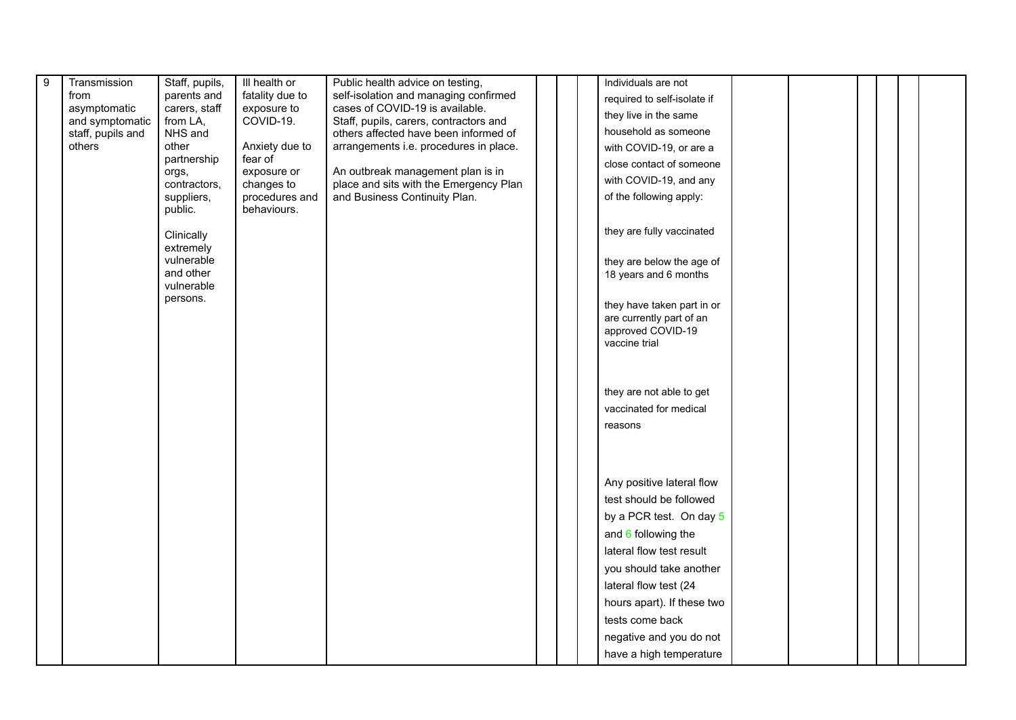| 9 | Transmission      | Staff, pupils,          | III health or             | Public health advice on testing,       |  | Individuals are not         |  |  |  |
|---|-------------------|-------------------------|---------------------------|----------------------------------------|--|-----------------------------|--|--|--|
|   | from              | parents and             | fatality due to           | self-isolation and managing confirmed  |  | required to self-isolate if |  |  |  |
|   | asymptomatic      | carers, staff           | exposure to               | cases of COVID-19 is available.        |  | they live in the same       |  |  |  |
|   | and symptomatic   | from LA,                | COVID-19.                 | Staff, pupils, carers, contractors and |  |                             |  |  |  |
|   | staff, pupils and | NHS and                 |                           | others affected have been informed of  |  | household as someone        |  |  |  |
|   | others            | other<br>partnership    | Anxiety due to<br>fear of | arrangements i.e. procedures in place. |  | with COVID-19, or are a     |  |  |  |
|   |                   | orgs,                   | exposure or               | An outbreak management plan is in      |  | close contact of someone    |  |  |  |
|   |                   | contractors,            | changes to                | place and sits with the Emergency Plan |  | with COVID-19, and any      |  |  |  |
|   |                   | suppliers,              | procedures and            | and Business Continuity Plan.          |  | of the following apply:     |  |  |  |
|   |                   | public.                 | behaviours.               |                                        |  |                             |  |  |  |
|   |                   |                         |                           |                                        |  | they are fully vaccinated   |  |  |  |
|   |                   | Clinically<br>extremely |                           |                                        |  |                             |  |  |  |
|   |                   | vulnerable              |                           |                                        |  | they are below the age of   |  |  |  |
|   |                   | and other               |                           |                                        |  | 18 years and 6 months       |  |  |  |
|   |                   | vulnerable              |                           |                                        |  |                             |  |  |  |
|   |                   | persons.                |                           |                                        |  | they have taken part in or  |  |  |  |
|   |                   |                         |                           |                                        |  | are currently part of an    |  |  |  |
|   |                   |                         |                           |                                        |  | approved COVID-19           |  |  |  |
|   |                   |                         |                           |                                        |  | vaccine trial               |  |  |  |
|   |                   |                         |                           |                                        |  |                             |  |  |  |
|   |                   |                         |                           |                                        |  |                             |  |  |  |
|   |                   |                         |                           |                                        |  | they are not able to get    |  |  |  |
|   |                   |                         |                           |                                        |  | vaccinated for medical      |  |  |  |
|   |                   |                         |                           |                                        |  | reasons                     |  |  |  |
|   |                   |                         |                           |                                        |  |                             |  |  |  |
|   |                   |                         |                           |                                        |  |                             |  |  |  |
|   |                   |                         |                           |                                        |  |                             |  |  |  |
|   |                   |                         |                           |                                        |  | Any positive lateral flow   |  |  |  |
|   |                   |                         |                           |                                        |  | test should be followed     |  |  |  |
|   |                   |                         |                           |                                        |  | by a PCR test. On day 5     |  |  |  |
|   |                   |                         |                           |                                        |  | and $6$ following the       |  |  |  |
|   |                   |                         |                           |                                        |  | lateral flow test result    |  |  |  |
|   |                   |                         |                           |                                        |  | you should take another     |  |  |  |
|   |                   |                         |                           |                                        |  | lateral flow test (24       |  |  |  |
|   |                   |                         |                           |                                        |  | hours apart). If these two  |  |  |  |
|   |                   |                         |                           |                                        |  | tests come back             |  |  |  |
|   |                   |                         |                           |                                        |  | negative and you do not     |  |  |  |
|   |                   |                         |                           |                                        |  | have a high temperature     |  |  |  |
|   |                   |                         |                           |                                        |  |                             |  |  |  |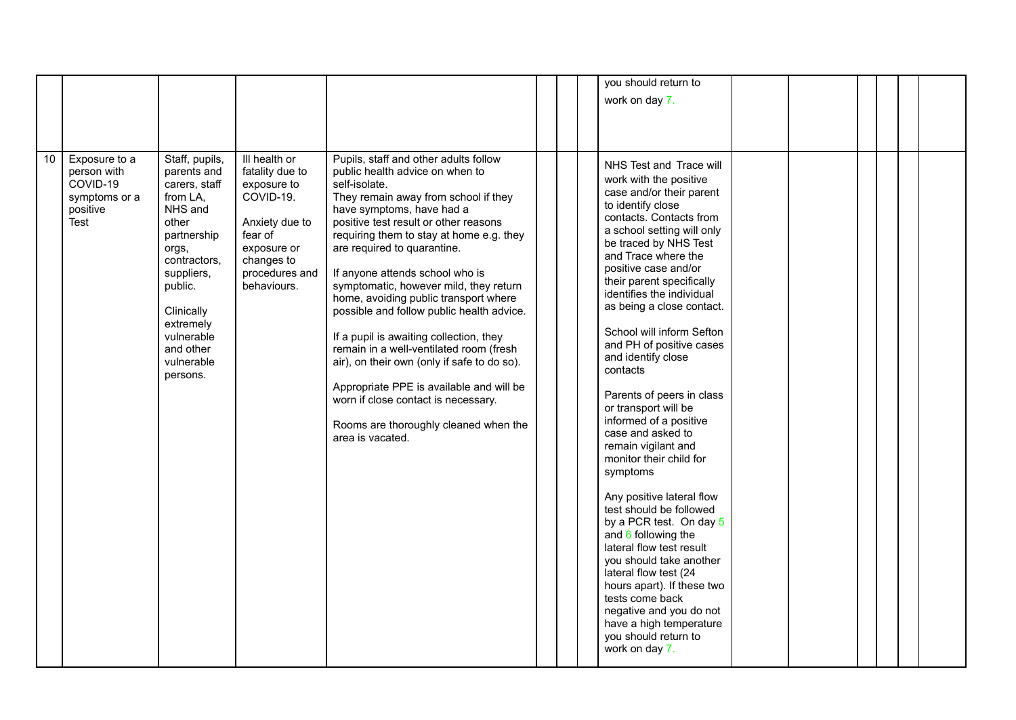|                 |                                                                               |                                                                                                                                                                                                                                 |                                                                                                                                                         |                                                                                                                                                                                                                                                                                                                                                                                                                                                                                                                                                                                                                                                                                                                                            |  | you should return to                                                                                                                                                                                                                                                                                                                                                                                                                                                                                                                                                                                                                                                                                                                                                                                                                                                                                               |  |  |  |
|-----------------|-------------------------------------------------------------------------------|---------------------------------------------------------------------------------------------------------------------------------------------------------------------------------------------------------------------------------|---------------------------------------------------------------------------------------------------------------------------------------------------------|--------------------------------------------------------------------------------------------------------------------------------------------------------------------------------------------------------------------------------------------------------------------------------------------------------------------------------------------------------------------------------------------------------------------------------------------------------------------------------------------------------------------------------------------------------------------------------------------------------------------------------------------------------------------------------------------------------------------------------------------|--|--------------------------------------------------------------------------------------------------------------------------------------------------------------------------------------------------------------------------------------------------------------------------------------------------------------------------------------------------------------------------------------------------------------------------------------------------------------------------------------------------------------------------------------------------------------------------------------------------------------------------------------------------------------------------------------------------------------------------------------------------------------------------------------------------------------------------------------------------------------------------------------------------------------------|--|--|--|
|                 |                                                                               |                                                                                                                                                                                                                                 |                                                                                                                                                         |                                                                                                                                                                                                                                                                                                                                                                                                                                                                                                                                                                                                                                                                                                                                            |  | work on day 7.                                                                                                                                                                                                                                                                                                                                                                                                                                                                                                                                                                                                                                                                                                                                                                                                                                                                                                     |  |  |  |
|                 |                                                                               |                                                                                                                                                                                                                                 |                                                                                                                                                         |                                                                                                                                                                                                                                                                                                                                                                                                                                                                                                                                                                                                                                                                                                                                            |  |                                                                                                                                                                                                                                                                                                                                                                                                                                                                                                                                                                                                                                                                                                                                                                                                                                                                                                                    |  |  |  |
|                 |                                                                               |                                                                                                                                                                                                                                 |                                                                                                                                                         |                                                                                                                                                                                                                                                                                                                                                                                                                                                                                                                                                                                                                                                                                                                                            |  |                                                                                                                                                                                                                                                                                                                                                                                                                                                                                                                                                                                                                                                                                                                                                                                                                                                                                                                    |  |  |  |
|                 |                                                                               |                                                                                                                                                                                                                                 |                                                                                                                                                         |                                                                                                                                                                                                                                                                                                                                                                                                                                                                                                                                                                                                                                                                                                                                            |  |                                                                                                                                                                                                                                                                                                                                                                                                                                                                                                                                                                                                                                                                                                                                                                                                                                                                                                                    |  |  |  |
|                 |                                                                               |                                                                                                                                                                                                                                 |                                                                                                                                                         |                                                                                                                                                                                                                                                                                                                                                                                                                                                                                                                                                                                                                                                                                                                                            |  |                                                                                                                                                                                                                                                                                                                                                                                                                                                                                                                                                                                                                                                                                                                                                                                                                                                                                                                    |  |  |  |
| 10 <sup>°</sup> | Exposure to a<br>person with<br>COVID-19<br>symptoms or a<br>positive<br>Test | Staff, pupils,<br>parents and<br>carers, staff<br>from LA,<br>NHS and<br>other<br>partnership<br>orgs,<br>contractors,<br>suppliers,<br>public.<br>Clinically<br>extremely<br>vulnerable<br>and other<br>vulnerable<br>persons. | Ill health or<br>fatality due to<br>exposure to<br>COVID-19.<br>Anxiety due to<br>fear of<br>exposure or<br>changes to<br>procedures and<br>behaviours. | Pupils, staff and other adults follow<br>public health advice on when to<br>self-isolate.<br>They remain away from school if they<br>have symptoms, have had a<br>positive test result or other reasons<br>requiring them to stay at home e.g. they<br>are required to quarantine.<br>If anyone attends school who is<br>symptomatic, however mild, they return<br>home, avoiding public transport where<br>possible and follow public health advice.<br>If a pupil is awaiting collection, they<br>remain in a well-ventilated room (fresh<br>air), on their own (only if safe to do so).<br>Appropriate PPE is available and will be<br>worn if close contact is necessary.<br>Rooms are thoroughly cleaned when the<br>area is vacated. |  | NHS Test and Trace will<br>work with the positive<br>case and/or their parent<br>to identify close<br>contacts. Contacts from<br>a school setting will only<br>be traced by NHS Test<br>and Trace where the<br>positive case and/or<br>their parent specifically<br>identifies the individual<br>as being a close contact.<br>School will inform Sefton<br>and PH of positive cases<br>and identify close<br>contacts<br>Parents of peers in class<br>or transport will be<br>informed of a positive<br>case and asked to<br>remain vigilant and<br>monitor their child for<br>symptoms<br>Any positive lateral flow<br>test should be followed<br>by a PCR test. On day 5<br>and $6$ following the<br>lateral flow test result<br>you should take another<br>lateral flow test (24<br>hours apart). If these two<br>tests come back<br>negative and you do not<br>have a high temperature<br>you should return to |  |  |  |
|                 |                                                                               |                                                                                                                                                                                                                                 |                                                                                                                                                         |                                                                                                                                                                                                                                                                                                                                                                                                                                                                                                                                                                                                                                                                                                                                            |  | work on day 7.                                                                                                                                                                                                                                                                                                                                                                                                                                                                                                                                                                                                                                                                                                                                                                                                                                                                                                     |  |  |  |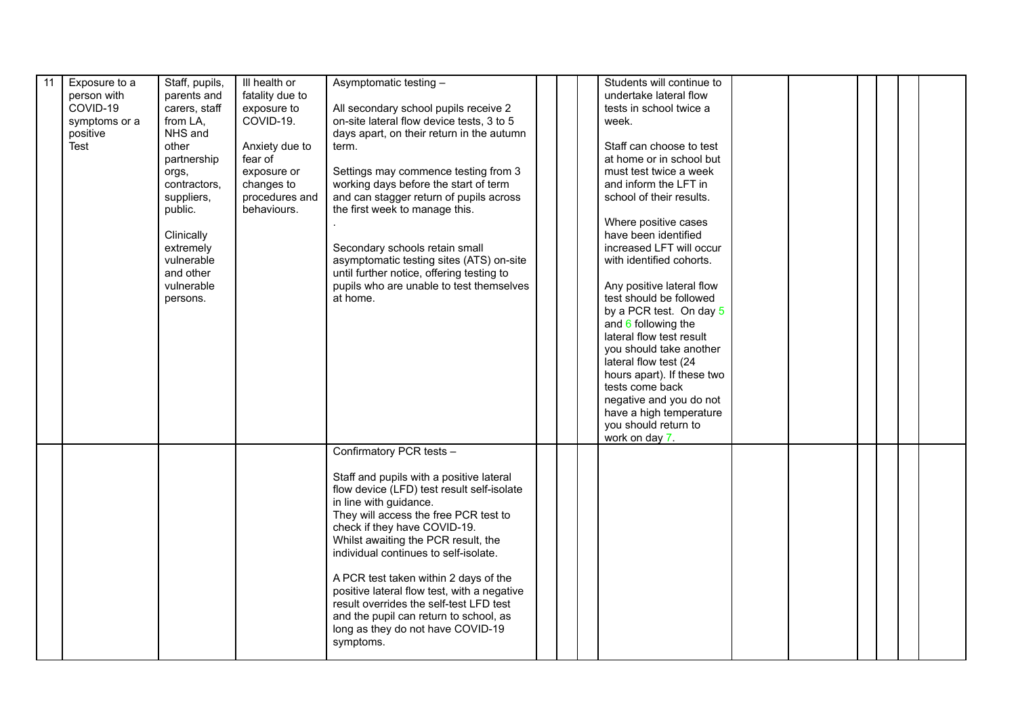| 11 | Exposure to a<br>person with<br>COVID-19<br>symptoms or a<br>positive<br>Test | Staff, pupils,<br>parents and<br>carers, staff<br>from LA,<br>NHS and<br>other<br>partnership<br>orgs,<br>contractors,<br>suppliers,<br>public.<br>Clinically<br>extremely<br>vulnerable<br>and other<br>vulnerable<br>persons. | III health or<br>fatality due to<br>exposure to<br>COVID-19.<br>Anxiety due to<br>fear of<br>exposure or<br>changes to<br>procedures and<br>behaviours. | Asymptomatic testing -<br>All secondary school pupils receive 2<br>on-site lateral flow device tests, 3 to 5<br>days apart, on their return in the autumn<br>term.<br>Settings may commence testing from 3<br>working days before the start of term<br>and can stagger return of pupils across<br>the first week to manage this.<br>Secondary schools retain small<br>asymptomatic testing sites (ATS) on-site<br>until further notice, offering testing to<br>pupils who are unable to test themselves<br>at home.                  | Students will continue to<br>undertake lateral flow<br>tests in school twice a<br>week.<br>Staff can choose to test<br>at home or in school but<br>must test twice a week<br>and inform the LFT in<br>school of their results.<br>Where positive cases<br>have been identified<br>increased LFT will occur<br>with identified cohorts.<br>Any positive lateral flow<br>test should be followed<br>by a PCR test. On day 5<br>and $6$ following the<br>lateral flow test result<br>you should take another<br>lateral flow test (24<br>hours apart). If these two<br>tests come back<br>negative and you do not<br>have a high temperature<br>you should return to<br>work on day 7. |  |  |  |
|----|-------------------------------------------------------------------------------|---------------------------------------------------------------------------------------------------------------------------------------------------------------------------------------------------------------------------------|---------------------------------------------------------------------------------------------------------------------------------------------------------|--------------------------------------------------------------------------------------------------------------------------------------------------------------------------------------------------------------------------------------------------------------------------------------------------------------------------------------------------------------------------------------------------------------------------------------------------------------------------------------------------------------------------------------|-------------------------------------------------------------------------------------------------------------------------------------------------------------------------------------------------------------------------------------------------------------------------------------------------------------------------------------------------------------------------------------------------------------------------------------------------------------------------------------------------------------------------------------------------------------------------------------------------------------------------------------------------------------------------------------|--|--|--|
|    |                                                                               |                                                                                                                                                                                                                                 |                                                                                                                                                         | Confirmatory PCR tests -<br>Staff and pupils with a positive lateral<br>flow device (LFD) test result self-isolate<br>in line with guidance.<br>They will access the free PCR test to<br>check if they have COVID-19.<br>Whilst awaiting the PCR result, the<br>individual continues to self-isolate.<br>A PCR test taken within 2 days of the<br>positive lateral flow test, with a negative<br>result overrides the self-test LFD test<br>and the pupil can return to school, as<br>long as they do not have COVID-19<br>symptoms. |                                                                                                                                                                                                                                                                                                                                                                                                                                                                                                                                                                                                                                                                                     |  |  |  |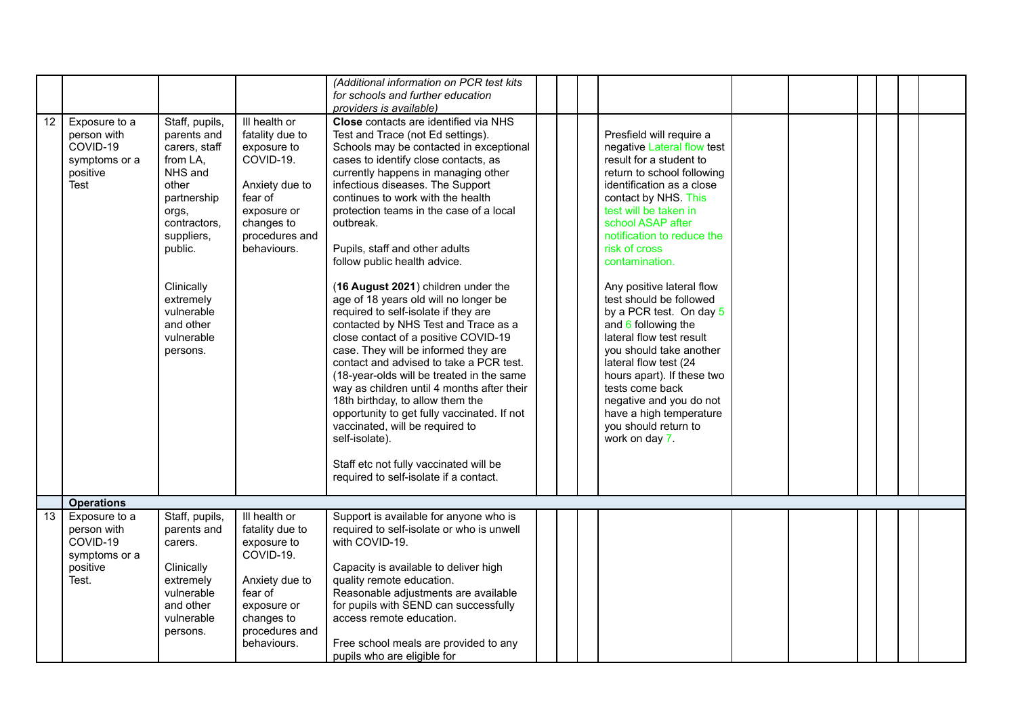|    |                                                                                |                                                                                                                                                                                                                                 |                                                                                                                                                         | (Additional information on PCR test kits<br>for schools and further education<br>providers is available)                                                                                                                                                                                                                                                                                                                                                                                                                                                                                                                                                                                                                                                                                                                                                                                                                                                                                                                  |                                                                                                                                                                                                                                                                                                                                                                                                                                                                                                                                                                                                                                  |  |  |  |
|----|--------------------------------------------------------------------------------|---------------------------------------------------------------------------------------------------------------------------------------------------------------------------------------------------------------------------------|---------------------------------------------------------------------------------------------------------------------------------------------------------|---------------------------------------------------------------------------------------------------------------------------------------------------------------------------------------------------------------------------------------------------------------------------------------------------------------------------------------------------------------------------------------------------------------------------------------------------------------------------------------------------------------------------------------------------------------------------------------------------------------------------------------------------------------------------------------------------------------------------------------------------------------------------------------------------------------------------------------------------------------------------------------------------------------------------------------------------------------------------------------------------------------------------|----------------------------------------------------------------------------------------------------------------------------------------------------------------------------------------------------------------------------------------------------------------------------------------------------------------------------------------------------------------------------------------------------------------------------------------------------------------------------------------------------------------------------------------------------------------------------------------------------------------------------------|--|--|--|
| 12 | Exposure to a<br>person with<br>COVID-19<br>symptoms or a<br>positive<br>Test  | Staff, pupils,<br>parents and<br>carers, staff<br>from LA,<br>NHS and<br>other<br>partnership<br>orgs,<br>contractors,<br>suppliers,<br>public.<br>Clinically<br>extremely<br>vulnerable<br>and other<br>vulnerable<br>persons. | III health or<br>fatality due to<br>exposure to<br>COVID-19.<br>Anxiety due to<br>fear of<br>exposure or<br>changes to<br>procedures and<br>behaviours. | Close contacts are identified via NHS<br>Test and Trace (not Ed settings).<br>Schools may be contacted in exceptional<br>cases to identify close contacts, as<br>currently happens in managing other<br>infectious diseases. The Support<br>continues to work with the health<br>protection teams in the case of a local<br>outbreak.<br>Pupils, staff and other adults<br>follow public health advice.<br>(16 August 2021) children under the<br>age of 18 years old will no longer be<br>required to self-isolate if they are<br>contacted by NHS Test and Trace as a<br>close contact of a positive COVID-19<br>case. They will be informed they are<br>contact and advised to take a PCR test.<br>(18-year-olds will be treated in the same<br>way as children until 4 months after their<br>18th birthday, to allow them the<br>opportunity to get fully vaccinated. If not<br>vaccinated, will be required to<br>self-isolate).<br>Staff etc not fully vaccinated will be<br>required to self-isolate if a contact. | Presfield will require a<br>negative Lateral flow test<br>result for a student to<br>return to school following<br>identification as a close<br>contact by NHS. This<br>test will be taken in<br>school ASAP after<br>notification to reduce the<br>risk of cross<br>contamination.<br>Any positive lateral flow<br>test should be followed<br>by a PCR test. On day 5<br>and $6$ following the<br>lateral flow test result<br>you should take another<br>lateral flow test (24<br>hours apart). If these two<br>tests come back<br>negative and you do not<br>have a high temperature<br>you should return to<br>work on day 7. |  |  |  |
|    | <b>Operations</b>                                                              |                                                                                                                                                                                                                                 |                                                                                                                                                         |                                                                                                                                                                                                                                                                                                                                                                                                                                                                                                                                                                                                                                                                                                                                                                                                                                                                                                                                                                                                                           |                                                                                                                                                                                                                                                                                                                                                                                                                                                                                                                                                                                                                                  |  |  |  |
| 13 | Exposure to a<br>person with<br>COVID-19<br>symptoms or a<br>positive<br>Test. | Staff, pupils,<br>parents and<br>carers.<br>Clinically<br>extremely<br>vulnerable<br>and other<br>vulnerable<br>persons.                                                                                                        | III health or<br>fatality due to<br>exposure to<br>COVID-19.<br>Anxiety due to<br>fear of<br>exposure or<br>changes to<br>procedures and<br>behaviours. | Support is available for anyone who is<br>required to self-isolate or who is unwell<br>with COVID-19.<br>Capacity is available to deliver high<br>quality remote education.<br>Reasonable adjustments are available<br>for pupils with SEND can successfully<br>access remote education.<br>Free school meals are provided to any<br>pupils who are eligible for                                                                                                                                                                                                                                                                                                                                                                                                                                                                                                                                                                                                                                                          |                                                                                                                                                                                                                                                                                                                                                                                                                                                                                                                                                                                                                                  |  |  |  |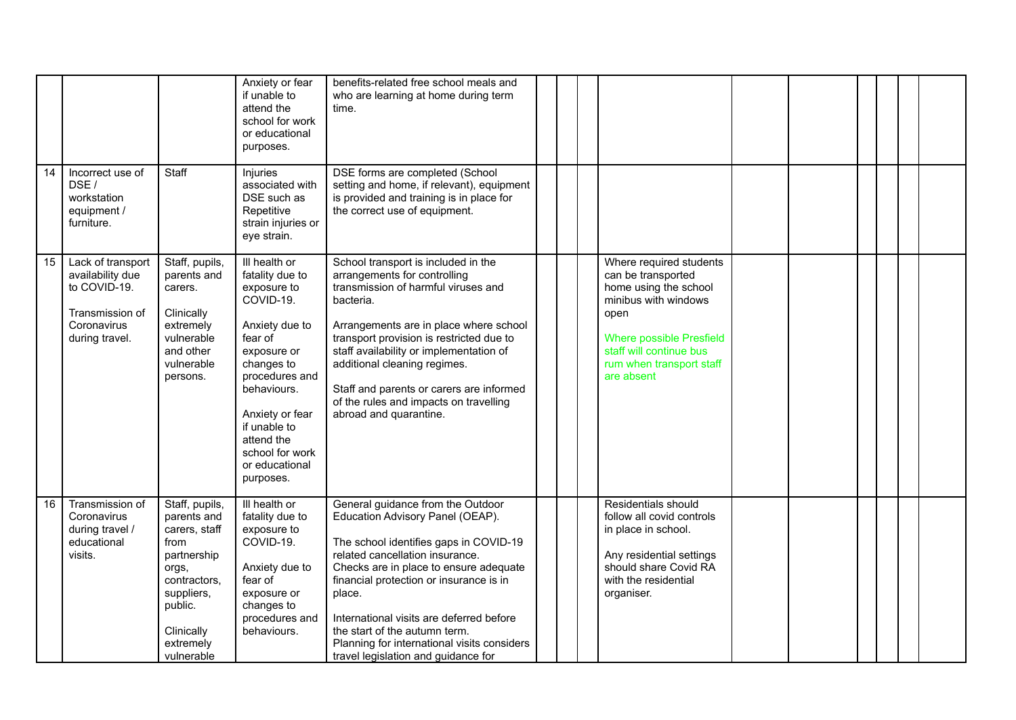|    |                                                                                                           |                                                                                                                                                                  | Anxiety or fear<br>if unable to<br>attend the<br>school for work<br>or educational<br>purposes.                                                                                                                                                            | benefits-related free school meals and<br>who are learning at home during term<br>time.                                                                                                                                                                                                                                                                                                                              |  |                                                                                                                                                                                                                |  |  |  |
|----|-----------------------------------------------------------------------------------------------------------|------------------------------------------------------------------------------------------------------------------------------------------------------------------|------------------------------------------------------------------------------------------------------------------------------------------------------------------------------------------------------------------------------------------------------------|----------------------------------------------------------------------------------------------------------------------------------------------------------------------------------------------------------------------------------------------------------------------------------------------------------------------------------------------------------------------------------------------------------------------|--|----------------------------------------------------------------------------------------------------------------------------------------------------------------------------------------------------------------|--|--|--|
| 14 | Incorrect use of<br>DSE /<br>workstation<br>equipment /<br>furniture.                                     | Staff                                                                                                                                                            | Injuries<br>associated with<br>DSE such as<br>Repetitive<br>strain injuries or<br>eye strain.                                                                                                                                                              | DSE forms are completed (School<br>setting and home, if relevant), equipment<br>is provided and training is in place for<br>the correct use of equipment.                                                                                                                                                                                                                                                            |  |                                                                                                                                                                                                                |  |  |  |
| 15 | Lack of transport<br>availability due<br>to COVID-19.<br>Transmission of<br>Coronavirus<br>during travel. | Staff, pupils,<br>parents and<br>carers.<br>Clinically<br>extremely<br>vulnerable<br>and other<br>vulnerable<br>persons.                                         | Ill health or<br>fatality due to<br>exposure to<br>COVID-19.<br>Anxiety due to<br>fear of<br>exposure or<br>changes to<br>procedures and<br>behaviours.<br>Anxiety or fear<br>if unable to<br>attend the<br>school for work<br>or educational<br>purposes. | School transport is included in the<br>arrangements for controlling<br>transmission of harmful viruses and<br>bacteria.<br>Arrangements are in place where school<br>transport provision is restricted due to<br>staff availability or implementation of<br>additional cleaning regimes.<br>Staff and parents or carers are informed<br>of the rules and impacts on travelling<br>abroad and quarantine.             |  | Where required students<br>can be transported<br>home using the school<br>minibus with windows<br>open<br><b>Where possible Presfield</b><br>staff will continue bus<br>rum when transport staff<br>are absent |  |  |  |
| 16 | Transmission of<br>Coronavirus<br>during travel /<br>educational<br>visits.                               | Staff, pupils,<br>parents and<br>carers, staff<br>from<br>partnership<br>orgs,<br>contractors,<br>suppliers,<br>public.<br>Clinically<br>extremely<br>vulnerable | III health or<br>fatality due to<br>exposure to<br>COVID-19.<br>Anxiety due to<br>fear of<br>exposure or<br>changes to<br>procedures and<br>behaviours.                                                                                                    | General guidance from the Outdoor<br>Education Advisory Panel (OEAP).<br>The school identifies gaps in COVID-19<br>related cancellation insurance.<br>Checks are in place to ensure adequate<br>financial protection or insurance is in<br>place.<br>International visits are deferred before<br>the start of the autumn term.<br>Planning for international visits considers<br>travel legislation and guidance for |  | Residentials should<br>follow all covid controls<br>in place in school.<br>Any residential settings<br>should share Covid RA<br>with the residential<br>organiser.                                             |  |  |  |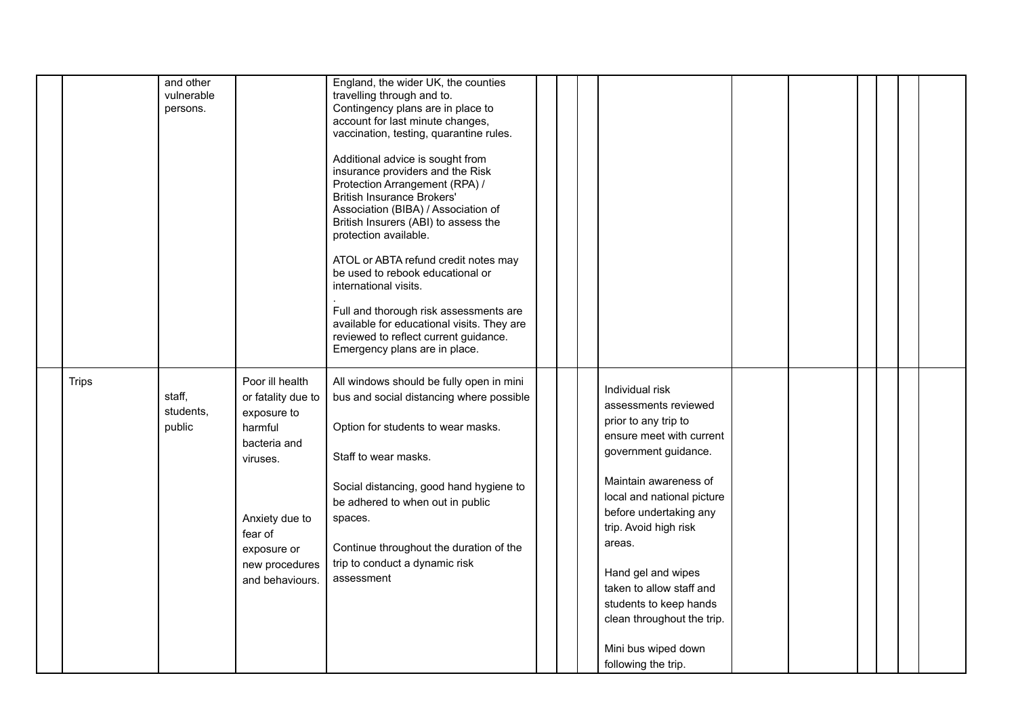|              | and other<br>vulnerable<br>persons. |                                                                                                                                                                              | England, the wider UK, the counties<br>travelling through and to.<br>Contingency plans are in place to<br>account for last minute changes,<br>vaccination, testing, quarantine rules.<br>Additional advice is sought from<br>insurance providers and the Risk<br>Protection Arrangement (RPA) /<br><b>British Insurance Brokers'</b><br>Association (BIBA) / Association of<br>British Insurers (ABI) to assess the<br>protection available.<br>ATOL or ABTA refund credit notes may<br>be used to rebook educational or<br>international visits.<br>Full and thorough risk assessments are<br>available for educational visits. They are<br>reviewed to reflect current guidance.<br>Emergency plans are in place. |  |                                                                                                                                                                                                                                                                                                                                                                                                 |  |  |  |
|--------------|-------------------------------------|------------------------------------------------------------------------------------------------------------------------------------------------------------------------------|---------------------------------------------------------------------------------------------------------------------------------------------------------------------------------------------------------------------------------------------------------------------------------------------------------------------------------------------------------------------------------------------------------------------------------------------------------------------------------------------------------------------------------------------------------------------------------------------------------------------------------------------------------------------------------------------------------------------|--|-------------------------------------------------------------------------------------------------------------------------------------------------------------------------------------------------------------------------------------------------------------------------------------------------------------------------------------------------------------------------------------------------|--|--|--|
| <b>Trips</b> | staff,<br>students,<br>public       | Poor ill health<br>or fatality due to<br>exposure to<br>harmful<br>bacteria and<br>viruses.<br>Anxiety due to<br>fear of<br>exposure or<br>new procedures<br>and behaviours. | All windows should be fully open in mini<br>bus and social distancing where possible<br>Option for students to wear masks.<br>Staff to wear masks.<br>Social distancing, good hand hygiene to<br>be adhered to when out in public<br>spaces.<br>Continue throughout the duration of the<br>trip to conduct a dynamic risk<br>assessment                                                                                                                                                                                                                                                                                                                                                                             |  | Individual risk<br>assessments reviewed<br>prior to any trip to<br>ensure meet with current<br>government guidance.<br>Maintain awareness of<br>local and national picture<br>before undertaking any<br>trip. Avoid high risk<br>areas.<br>Hand gel and wipes<br>taken to allow staff and<br>students to keep hands<br>clean throughout the trip.<br>Mini bus wiped down<br>following the trip. |  |  |  |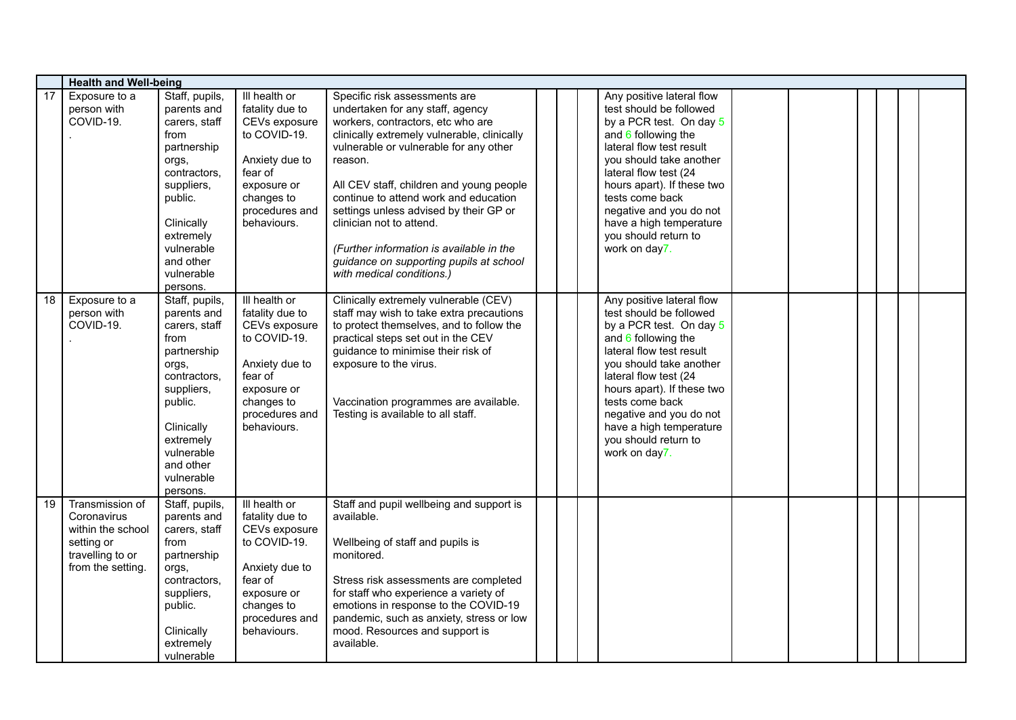|          |                                                                                                            | <b>Health and Well-being</b>                                                                                                                                                                                              |                                                                                                                                                                               |                                                                                                                                                                                                                                                                                                                                                                                                                                                                                                                                    |  |  |                                                                                                                                                                                                                                                                                                                                                                       |  |  |  |  |  |  |
|----------|------------------------------------------------------------------------------------------------------------|---------------------------------------------------------------------------------------------------------------------------------------------------------------------------------------------------------------------------|-------------------------------------------------------------------------------------------------------------------------------------------------------------------------------|------------------------------------------------------------------------------------------------------------------------------------------------------------------------------------------------------------------------------------------------------------------------------------------------------------------------------------------------------------------------------------------------------------------------------------------------------------------------------------------------------------------------------------|--|--|-----------------------------------------------------------------------------------------------------------------------------------------------------------------------------------------------------------------------------------------------------------------------------------------------------------------------------------------------------------------------|--|--|--|--|--|--|
| 17<br>18 | Exposure to a<br>person with<br>COVID-19.<br>Exposure to a                                                 | Staff, pupils,<br>parents and<br>carers, staff<br>from<br>partnership<br>orgs,<br>contractors,<br>suppliers,<br>public.<br>Clinically<br>extremely<br>vulnerable<br>and other<br>vulnerable<br>persons.<br>Staff, pupils, | Ill health or<br>fatality due to<br>CEVs exposure<br>to COVID-19.<br>Anxiety due to<br>fear of<br>exposure or<br>changes to<br>procedures and<br>behaviours.<br>Ill health or | Specific risk assessments are<br>undertaken for any staff, agency<br>workers, contractors, etc who are<br>clinically extremely vulnerable, clinically<br>vulnerable or vulnerable for any other<br>reason.<br>All CEV staff, children and young people<br>continue to attend work and education<br>settings unless advised by their GP or<br>clinician not to attend.<br>(Further information is available in the<br>guidance on supporting pupils at school<br>with medical conditions.)<br>Clinically extremely vulnerable (CEV) |  |  | Any positive lateral flow<br>test should be followed<br>by a PCR test. On day 5<br>and $6$ following the<br>lateral flow test result<br>you should take another<br>lateral flow test (24<br>hours apart). If these two<br>tests come back<br>negative and you do not<br>have a high temperature<br>you should return to<br>work on day7.<br>Any positive lateral flow |  |  |  |  |  |  |
|          | person with<br>COVID-19.                                                                                   | parents and<br>carers, staff<br>from<br>partnership<br>orgs,<br>contractors,<br>suppliers,<br>public.<br>Clinically<br>extremely<br>vulnerable<br>and other<br>vulnerable<br>persons.                                     | fatality due to<br>CEVs exposure<br>to COVID-19.<br>Anxiety due to<br>fear of<br>exposure or<br>changes to<br>procedures and<br>behaviours.                                   | staff may wish to take extra precautions<br>to protect themselves, and to follow the<br>practical steps set out in the CEV<br>guidance to minimise their risk of<br>exposure to the virus.<br>Vaccination programmes are available.<br>Testing is available to all staff.                                                                                                                                                                                                                                                          |  |  | test should be followed<br>by a PCR test. On day 5<br>and $6$ following the<br>lateral flow test result<br>you should take another<br>lateral flow test (24<br>hours apart). If these two<br>tests come back<br>negative and you do not<br>have a high temperature<br>you should return to<br>work on day7.                                                           |  |  |  |  |  |  |
| 19       | Transmission of<br>Coronavirus<br>within the school<br>setting or<br>travelling to or<br>from the setting. | Staff, pupils,<br>parents and<br>carers, staff<br>from<br>partnership<br>orgs,<br>contractors.<br>suppliers,<br>public.<br>Clinically<br>extremely<br>vulnerable                                                          | Ill health or<br>fatality due to<br>CEVs exposure<br>to COVID-19.<br>Anxiety due to<br>fear of<br>exposure or<br>changes to<br>procedures and<br>behaviours.                  | Staff and pupil wellbeing and support is<br>available.<br>Wellbeing of staff and pupils is<br>monitored.<br>Stress risk assessments are completed<br>for staff who experience a variety of<br>emotions in response to the COVID-19<br>pandemic, such as anxiety, stress or low<br>mood. Resources and support is<br>available.                                                                                                                                                                                                     |  |  |                                                                                                                                                                                                                                                                                                                                                                       |  |  |  |  |  |  |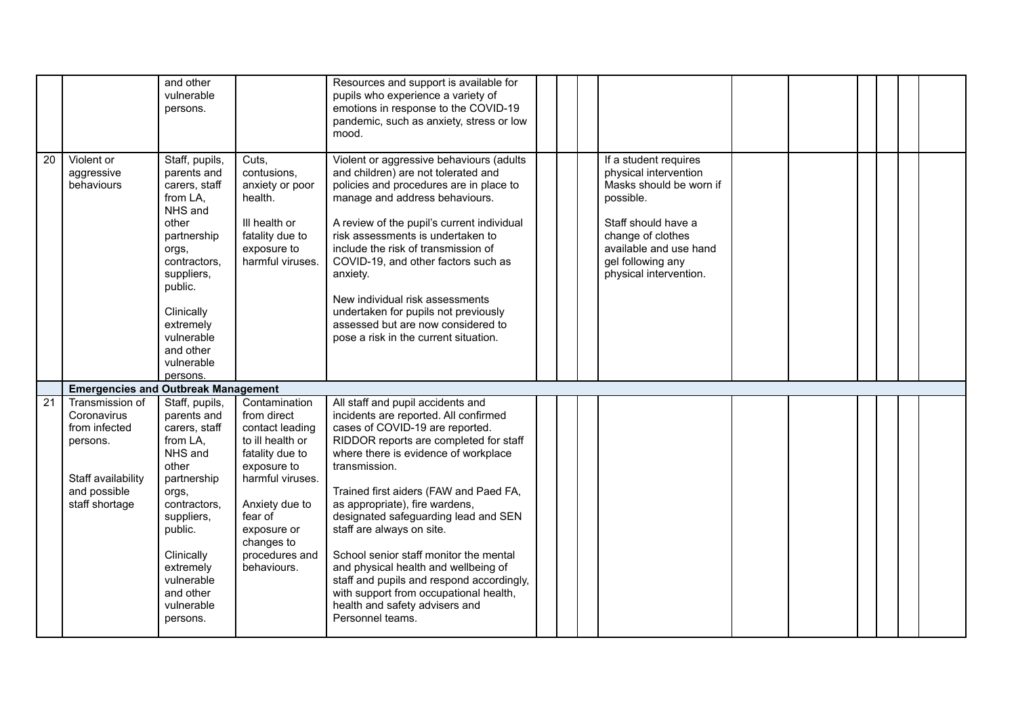|                 |                                                                                                                     | and other<br>vulnerable<br>persons.                                                                                                                                                                                             |                                                                                                                                                                                                                      | Resources and support is available for<br>pupils who experience a variety of<br>emotions in response to the COVID-19<br>pandemic, such as anxiety, stress or low<br>mood.                                                                                                                                                                                                                                                                                                                                                                                                                        |  |                                                                                                                                                                                                             |  |  |  |
|-----------------|---------------------------------------------------------------------------------------------------------------------|---------------------------------------------------------------------------------------------------------------------------------------------------------------------------------------------------------------------------------|----------------------------------------------------------------------------------------------------------------------------------------------------------------------------------------------------------------------|--------------------------------------------------------------------------------------------------------------------------------------------------------------------------------------------------------------------------------------------------------------------------------------------------------------------------------------------------------------------------------------------------------------------------------------------------------------------------------------------------------------------------------------------------------------------------------------------------|--|-------------------------------------------------------------------------------------------------------------------------------------------------------------------------------------------------------------|--|--|--|
| $\overline{20}$ | Violent or<br>aggressive<br>behaviours                                                                              | Staff, pupils,<br>parents and<br>carers, staff<br>from LA,<br>NHS and<br>other<br>partnership<br>orgs,<br>contractors,<br>suppliers,<br>public.<br>Clinically<br>extremely<br>vulnerable<br>and other<br>vulnerable<br>persons. | Cuts,<br>contusions,<br>anxiety or poor<br>health.<br>III health or<br>fatality due to<br>exposure to<br>harmful viruses.                                                                                            | Violent or aggressive behaviours (adults<br>and children) are not tolerated and<br>policies and procedures are in place to<br>manage and address behaviours.<br>A review of the pupil's current individual<br>risk assessments is undertaken to<br>include the risk of transmission of<br>COVID-19, and other factors such as<br>anxiety.<br>New individual risk assessments<br>undertaken for pupils not previously<br>assessed but are now considered to<br>pose a risk in the current situation.                                                                                              |  | If a student requires<br>physical intervention<br>Masks should be worn if<br>possible.<br>Staff should have a<br>change of clothes<br>available and use hand<br>gel following any<br>physical intervention. |  |  |  |
|                 | <b>Emergencies and Outbreak Management</b>                                                                          |                                                                                                                                                                                                                                 |                                                                                                                                                                                                                      |                                                                                                                                                                                                                                                                                                                                                                                                                                                                                                                                                                                                  |  |                                                                                                                                                                                                             |  |  |  |
| 21              | Transmission of<br>Coronavirus<br>from infected<br>persons.<br>Staff availability<br>and possible<br>staff shortage | Staff, pupils,<br>parents and<br>carers, staff<br>from LA,<br>NHS and<br>other<br>partnership<br>orgs,<br>contractors,<br>suppliers,<br>public.<br>Clinically<br>extremely<br>vulnerable<br>and other<br>vulnerable<br>persons. | Contamination<br>from direct<br>contact leading<br>to ill health or<br>fatality due to<br>exposure to<br>harmful viruses.<br>Anxiety due to<br>fear of<br>exposure or<br>changes to<br>procedures and<br>behaviours. | All staff and pupil accidents and<br>incidents are reported. All confirmed<br>cases of COVID-19 are reported.<br>RIDDOR reports are completed for staff<br>where there is evidence of workplace<br>transmission.<br>Trained first aiders (FAW and Paed FA,<br>as appropriate), fire wardens,<br>designated safeguarding lead and SEN<br>staff are always on site.<br>School senior staff monitor the mental<br>and physical health and wellbeing of<br>staff and pupils and respond accordingly,<br>with support from occupational health,<br>health and safety advisers and<br>Personnel teams. |  |                                                                                                                                                                                                             |  |  |  |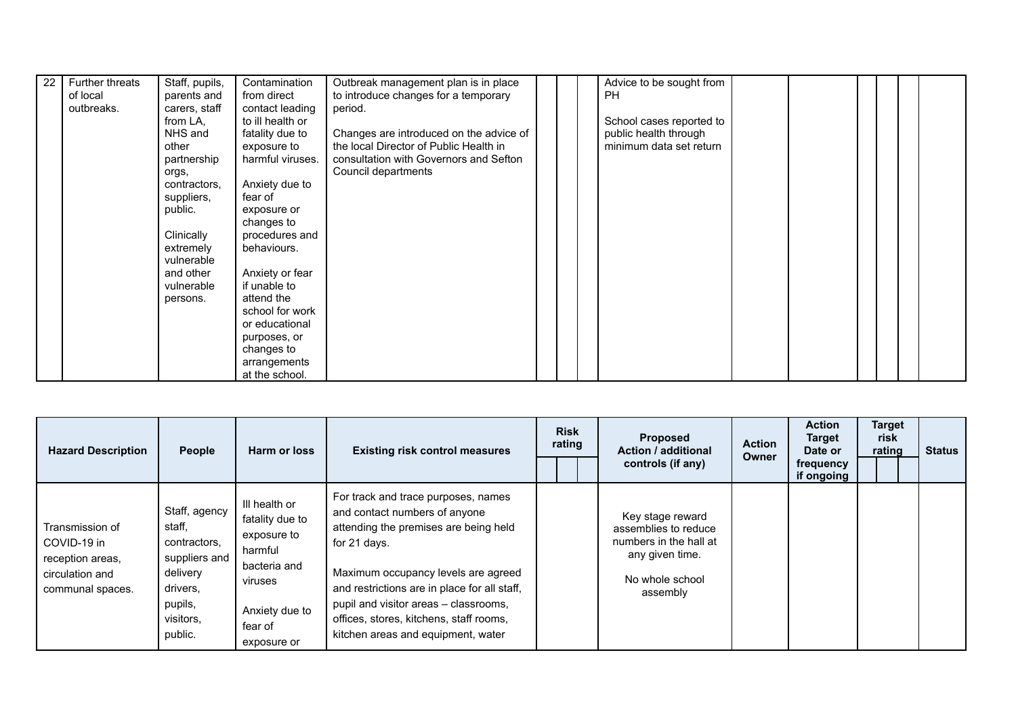| 22 | Further threats | Staff, pupils, | Contamination    | Outbreak management plan is in place    |  | Advice to be sought from |  |  |  |
|----|-----------------|----------------|------------------|-----------------------------------------|--|--------------------------|--|--|--|
|    | of local        | parents and    | from direct      | to introduce changes for a temporary    |  | PH.                      |  |  |  |
|    | outbreaks.      | carers, staff  | contact leading  | period.                                 |  |                          |  |  |  |
|    |                 | from LA,       | to ill health or |                                         |  | School cases reported to |  |  |  |
|    |                 | NHS and        | fatality due to  | Changes are introduced on the advice of |  | public health through    |  |  |  |
|    |                 | other          | exposure to      | the local Director of Public Health in  |  | minimum data set return  |  |  |  |
|    |                 | partnership    | harmful viruses. | consultation with Governors and Sefton  |  |                          |  |  |  |
|    |                 | orgs,          |                  | Council departments                     |  |                          |  |  |  |
|    |                 | contractors.   | Anxiety due to   |                                         |  |                          |  |  |  |
|    |                 | suppliers,     | fear of          |                                         |  |                          |  |  |  |
|    |                 | public.        | exposure or      |                                         |  |                          |  |  |  |
|    |                 |                | changes to       |                                         |  |                          |  |  |  |
|    |                 | Clinically     | procedures and   |                                         |  |                          |  |  |  |
|    |                 | extremely      | behaviours.      |                                         |  |                          |  |  |  |
|    |                 | vulnerable     |                  |                                         |  |                          |  |  |  |
|    |                 | and other      | Anxiety or fear  |                                         |  |                          |  |  |  |
|    |                 | vulnerable     | if unable to     |                                         |  |                          |  |  |  |
|    |                 | persons.       | attend the       |                                         |  |                          |  |  |  |
|    |                 |                | school for work  |                                         |  |                          |  |  |  |
|    |                 |                | or educational   |                                         |  |                          |  |  |  |
|    |                 |                | purposes, or     |                                         |  |                          |  |  |  |
|    |                 |                | changes to       |                                         |  |                          |  |  |  |
|    |                 |                | arrangements     |                                         |  |                          |  |  |  |
|    |                 |                | at the school.   |                                         |  |                          |  |  |  |

| <b>Hazard Description</b>                                                                 | People                                                                                                              | Harm or loss                                                                                                                      | <b>Existing risk control measures</b>                                                                                                                                                                                                                                                                                                          | <b>Risk</b><br>rating | <b>Proposed</b><br><b>Action / additional</b><br>controls (if any)                                                   | <b>Action</b><br>Owner | <b>Action</b><br><b>Target</b><br>Date or<br>frequency<br>if ongoing | <b>Target</b><br>risk<br>rating | <b>Status</b> |
|-------------------------------------------------------------------------------------------|---------------------------------------------------------------------------------------------------------------------|-----------------------------------------------------------------------------------------------------------------------------------|------------------------------------------------------------------------------------------------------------------------------------------------------------------------------------------------------------------------------------------------------------------------------------------------------------------------------------------------|-----------------------|----------------------------------------------------------------------------------------------------------------------|------------------------|----------------------------------------------------------------------|---------------------------------|---------------|
| Transmission of<br>COVID-19 in<br>reception areas,<br>circulation and<br>communal spaces. | Staff, agency<br>staff,<br>contractors.<br>suppliers and<br>delivery<br>drivers,<br>pupils,<br>visitors,<br>public. | III health or<br>fatality due to<br>exposure to<br>harmful<br>bacteria and<br>viruses<br>Anxiety due to<br>fear of<br>exposure or | For track and trace purposes, names<br>and contact numbers of anyone<br>attending the premises are being held<br>for 21 days.<br>Maximum occupancy levels are agreed<br>and restrictions are in place for all staff,<br>pupil and visitor areas - classrooms,<br>offices, stores, kitchens, staff rooms,<br>kitchen areas and equipment, water |                       | Key stage reward<br>assemblies to reduce<br>numbers in the hall at<br>any given time.<br>No whole school<br>assembly |                        |                                                                      |                                 |               |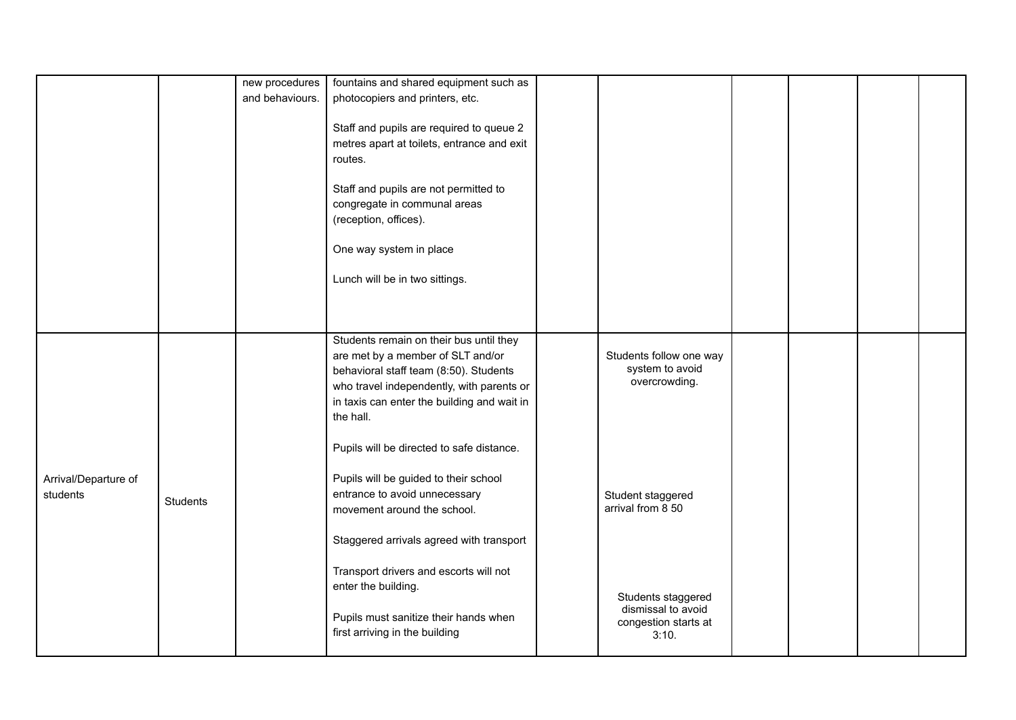|                                  |                 | new procedures<br>and behaviours. | fountains and shared equipment such as<br>photocopiers and printers, etc.<br>Staff and pupils are required to queue 2<br>metres apart at toilets, entrance and exit<br>routes.<br>Staff and pupils are not permitted to<br>congregate in communal areas<br>(reception, offices).<br>One way system in place<br>Lunch will be in two sittings. |                                                                           |  |  |
|----------------------------------|-----------------|-----------------------------------|-----------------------------------------------------------------------------------------------------------------------------------------------------------------------------------------------------------------------------------------------------------------------------------------------------------------------------------------------|---------------------------------------------------------------------------|--|--|
|                                  |                 |                                   | Students remain on their bus until they<br>are met by a member of SLT and/or<br>behavioral staff team (8:50). Students<br>who travel independently, with parents or<br>in taxis can enter the building and wait in<br>the hall.                                                                                                               | Students follow one way<br>system to avoid<br>overcrowding.               |  |  |
| Arrival/Departure of<br>students | <b>Students</b> |                                   | Pupils will be directed to safe distance.<br>Pupils will be guided to their school<br>entrance to avoid unnecessary<br>movement around the school.<br>Staggered arrivals agreed with transport                                                                                                                                                | Student staggered<br>arrival from 8 50                                    |  |  |
|                                  |                 |                                   | Transport drivers and escorts will not<br>enter the building.<br>Pupils must sanitize their hands when<br>first arriving in the building                                                                                                                                                                                                      | Students staggered<br>dismissal to avoid<br>congestion starts at<br>3:10. |  |  |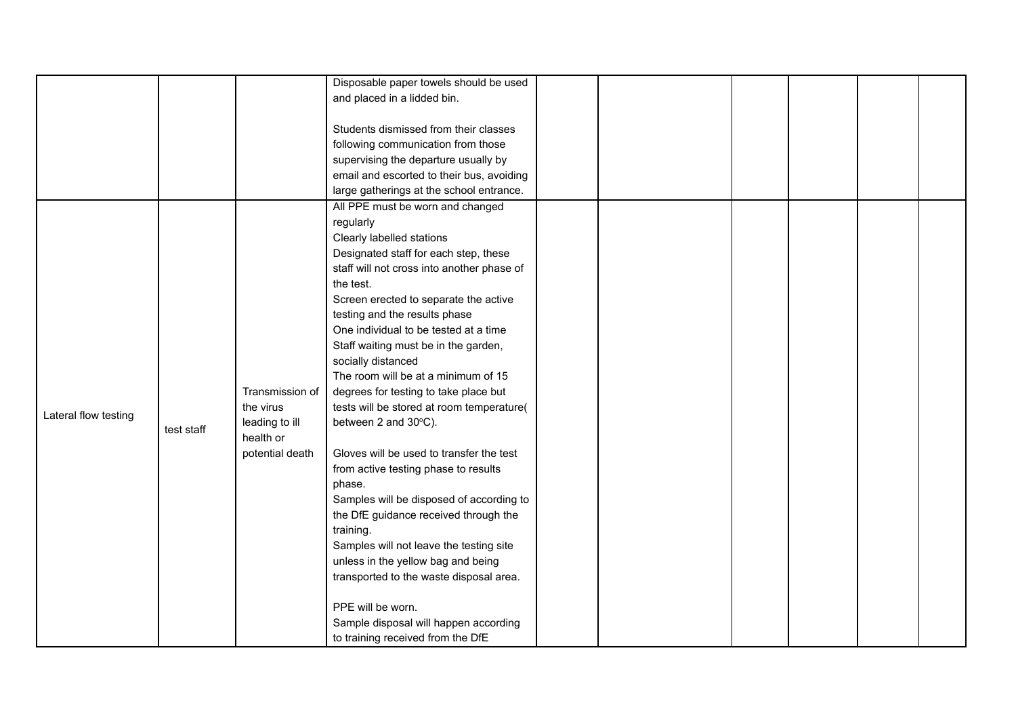|                      |            |                 | Disposable paper towels should be used     |  |  |  |
|----------------------|------------|-----------------|--------------------------------------------|--|--|--|
|                      |            |                 | and placed in a lidded bin.                |  |  |  |
|                      |            |                 |                                            |  |  |  |
|                      |            |                 | Students dismissed from their classes      |  |  |  |
|                      |            |                 | following communication from those         |  |  |  |
|                      |            |                 | supervising the departure usually by       |  |  |  |
|                      |            |                 | email and escorted to their bus, avoiding  |  |  |  |
|                      |            |                 | large gatherings at the school entrance.   |  |  |  |
|                      |            |                 | All PPE must be worn and changed           |  |  |  |
|                      |            |                 | regularly                                  |  |  |  |
|                      |            |                 | Clearly labelled stations                  |  |  |  |
|                      |            |                 | Designated staff for each step, these      |  |  |  |
|                      |            |                 | staff will not cross into another phase of |  |  |  |
|                      |            |                 | the test.                                  |  |  |  |
|                      |            |                 | Screen erected to separate the active      |  |  |  |
|                      |            |                 | testing and the results phase              |  |  |  |
|                      |            |                 | One individual to be tested at a time      |  |  |  |
|                      |            |                 | Staff waiting must be in the garden,       |  |  |  |
|                      |            |                 | socially distanced                         |  |  |  |
|                      |            |                 | The room will be at a minimum of 15        |  |  |  |
|                      |            | Transmission of | degrees for testing to take place but      |  |  |  |
|                      |            | the virus       | tests will be stored at room temperature(  |  |  |  |
| Lateral flow testing | test staff | leading to ill  | between 2 and 30°C).                       |  |  |  |
|                      |            | health or       |                                            |  |  |  |
|                      |            | potential death | Gloves will be used to transfer the test   |  |  |  |
|                      |            |                 | from active testing phase to results       |  |  |  |
|                      |            |                 | phase.                                     |  |  |  |
|                      |            |                 | Samples will be disposed of according to   |  |  |  |
|                      |            |                 | the DfE guidance received through the      |  |  |  |
|                      |            |                 | training.                                  |  |  |  |
|                      |            |                 | Samples will not leave the testing site    |  |  |  |
|                      |            |                 | unless in the yellow bag and being         |  |  |  |
|                      |            |                 | transported to the waste disposal area.    |  |  |  |
|                      |            |                 |                                            |  |  |  |
|                      |            |                 | PPE will be worn.                          |  |  |  |
|                      |            |                 | Sample disposal will happen according      |  |  |  |
|                      |            |                 | to training received from the DfE          |  |  |  |